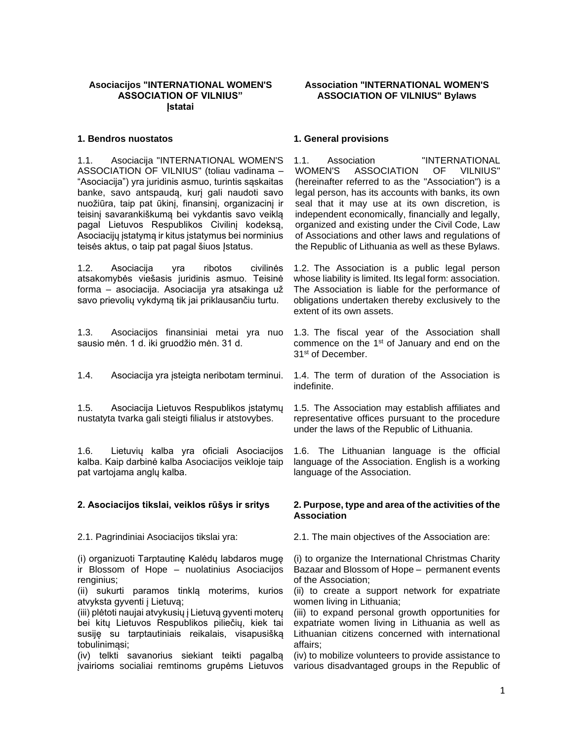## **Asociacijos "INTERNATIONAL WOMEN'S ASSOCIATION OF VILNIUS" Įstatai**

### **Association "INTERNATIONAL WOMEN'S ASSOCIATION OF VILNIUS" Bylaws**

### **1. Bendros nuostatos**

1.1. Asociacija "INTERNATIONAL WOMEN'S ASSOCIATION OF VILNIUS" (toliau vadinama – "Asociacija") yra juridinis asmuo, turintis sąskaitas banke, savo antspaudą, kurį gali naudoti savo nuožiūra, taip pat ūkinį, finansinį, organizacinį ir teisinį savarankiškumą bei vykdantis savo veiklą pagal Lietuvos Respublikos Civilinį kodeksą, Asociacijų įstatymą ir kitus įstatymus bei norminius teisės aktus, o taip pat pagal šiuos Įstatus.

1.2. Asociacija yra ribotos civilinės atsakomybės viešasis juridinis asmuo. Teisinė forma – asociacija. Asociacija yra atsakinga už savo prievolių vykdymą tik jai priklausančiu turtu.

1.3. Asociacijos finansiniai metai yra nuo sausio mėn. 1 d. iki gruodžio mėn. 31 d.

1.4. Asociacija yra įsteigta neribotam terminui.

1.5. Asociacija Lietuvos Respublikos įstatymų nustatyta tvarka gali steigti filialus ir atstovybes.

1.6. Lietuvių kalba yra oficiali Asociacijos kalba. Kaip darbinė kalba Asociacijos veikloje taip pat vartojama anglų kalba.

## **2. Asociacijos tikslai, veiklos rūšys ir sritys**

2.1. Pagrindiniai Asociacijos tikslai yra:

(i) organizuoti Tarptautinę Kalėdų labdaros mugę ir Blossom of Hope – nuolatinius Asociacijos renginius;

(ii) sukurti paramos tinklą moterims, kurios atvyksta gyventi į Lietuvą;

(iii) plėtoti naujai atvykusių į Lietuvą gyventi moterų bei kitų Lietuvos Respublikos piliečių, kiek tai susiję su tarptautiniais reikalais, visapusišką tobulinimąsi;

(iv) telkti savanorius siekiant teikti pagalbą įvairioms socialiai remtinoms grupėms Lietuvos

### **1. General provisions**

1.1. Association "INTERNATIONAL WOMEN'S ASSOCIATION OF VILNIUS" (hereinafter referred to as the "Association") is a legal person, has its accounts with banks, its own seal that it may use at its own discretion, is independent economically, financially and legally, organized and existing under the Civil Code, Law of Associations and other laws and regulations of the Republic of Lithuania as well as these Bylaws.

1.2. The Association is a public legal person whose liability is limited. Its legal form: association. The Association is liable for the performance of obligations undertaken thereby exclusively to the extent of its own assets.

1.3. The fiscal year of the Association shall commence on the 1<sup>st</sup> of January and end on the 31st of December.

1.4. The term of duration of the Association is indefinite.

1.5. The Association may establish affiliates and representative offices pursuant to the procedure under the laws of the Republic of Lithuania.

1.6. The Lithuanian language is the official language of the Association. English is a working language of the Association.

## **2. Purpose, type and area of the activities of the Association**

2.1. The main objectives of the Association are:

(i) (i) to organize the International Christmas Charity Bazaar and Blossom of Hope – permanent events of the Association;

(ii) to create a support network for expatriate women living in Lithuania;

(iii) to expand personal growth opportunities for expatriate women living in Lithuania as well as Lithuanian citizens concerned with international affairs;

(iv) (iv) to mobilize volunteers to provide assistance to various disadvantaged groups in the Republic of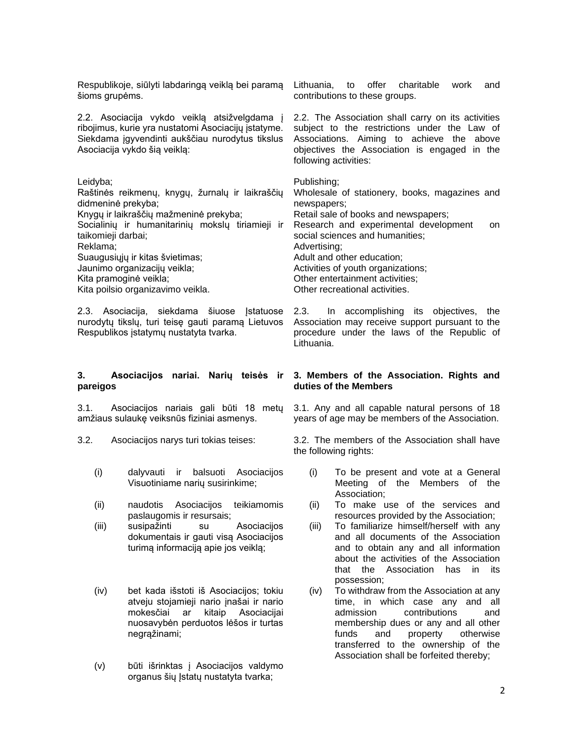Respublikoje, siūlyti labdaringą veiklą bei paramą šioms grupėms.

2.2. Asociacija vykdo veiklą atsižvelgdama į ribojimus, kurie yra nustatomi Asociacijų įstatyme. Siekdama įgyvendinti aukščiau nurodytus tikslus Asociacija vykdo šią veiklą:

## Leidyba;

Raštinės reikmenų, knygų, žurnalų ir laikraščių didmeninė prekyba; Knygų ir laikraščių mažmeninė prekyba; Socialinių ir humanitarinių mokslų tiriamieji ir taikomieji darbai; Reklama; Suaugusiųjų ir kitas švietimas; Jaunimo organizacijų veikla; Kita pramoginė veikla; Kita poilsio organizavimo veikla.

2.3. Asociacija, siekdama šiuose Įstatuose nurodytų tikslų, turi teisę gauti paramą Lietuvos Respublikos įstatymų nustatyta tvarka.

## **3. Asociacijos nariai. Narių teisės ir pareigos**

3.1. Asociacijos nariais gali būti 18 metų amžiaus sulaukę veiksnūs fiziniai asmenys.

- 3.2. Asociacijos narys turi tokias teises:
	- (i) dalyvauti ir balsuoti Asociacijos Visuotiniame narių susirinkime;
	- (ii) naudotis Asociacijos teikiamomis paslaugomis ir resursais;
	- (iii) susipažinti su Asociacijos dokumentais ir gauti visą Asociacijos turimą informaciją apie jos veiklą;
	- (iv) bet kada išstoti iš Asociacijos; tokiu atveju stojamieji nario įnašai ir nario mokesčiai ar kitaip Asociacijai nuosavybėn perduotos lėšos ir turtas negrąžinami;
	- (v) būti išrinktas į Asociacijos valdymo organus šių Įstatų nustatyta tvarka;

Lithuania, to offer charitable work and contributions to these groups.

2.2. The Association shall carry on its activities subject to the restrictions under the Law of Associations. Aiming to achieve the above objectives the Association is engaged in the following activities:

Publishing; Wholesale of stationery, books, magazines and newspapers; Retail sale of books and newspapers; Research and experimental development on social sciences and humanities; Advertising; Adult and other education; Activities of youth organizations; Other entertainment activities; Other recreational activities.

2.3. In accomplishing its objectives, the Association may receive support pursuant to the procedure under the laws of the Republic of Lithuania.

## **3. Members of the Association. Rights and duties of the Members**

3.1. Any and all capable natural persons of 18 years of age may be members of the Association.

3.2. The members of the Association shall have the following rights:

- (i) To be present and vote at a General Meeting of the Members of the Association;
- (ii) To make use of the services and resources provided by the Association;
- (iii) To familiarize himself/herself with any and all documents of the Association and to obtain any and all information about the activities of the Association that the Association has in its possession;
- (iv) To withdraw from the Association at any time, in which case any and all admission contributions and membership dues or any and all other funds and property otherwise transferred to the ownership of the Association shall be forfeited thereby;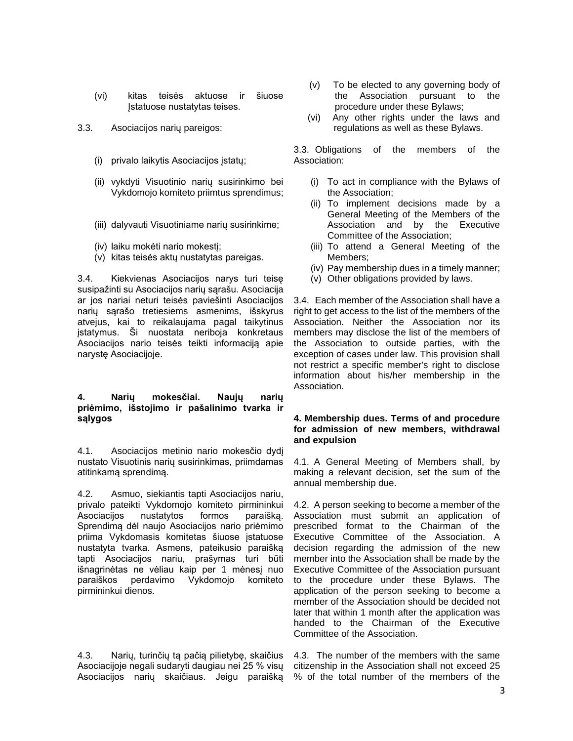- (vi) kitas teisės aktuose ir šiuose Įstatuose nustatytas teises.
- 3.3. Asociacijos narių pareigos:
	- (i) privalo laikytis Asociacijos įstatų;
	- (ii) vykdyti Visuotinio narių susirinkimo bei Vykdomojo komiteto priimtus sprendimus;
	- (iii) dalyvauti Visuotiniame narių susirinkime;
	- (iv) laiku mokėti nario mokestį;
	- (v) kitas teisės aktų nustatytas pareigas.

3.4. Kiekvienas Asociacijos narys turi teisę susipažinti su Asociacijos narių sąrašu. Asociacija ar jos nariai neturi teisės paviešinti Asociacijos narių sąrašo tretiesiems asmenims, išskyrus atvejus, kai to reikalaujama pagal taikytinus įstatymus. Ši nuostata neriboja konkretaus Asociacijos nario teisės teikti informaciją apie narystę Asociacijoje.

## **4. Narių mokesčiai. Naujų narių priėmimo, išstojimo ir pašalinimo tvarka ir sąlygos**

4.1. Asociacijos metinio nario mokesčio dydį nustato Visuotinis narių susirinkimas, priimdamas atitinkamą sprendimą.

4.2. Asmuo, siekiantis tapti Asociacijos nariu, privalo pateikti Vykdomojo komiteto pirmininkui Asociacijos nustatytos formos paraišką. Sprendimą dėl naujo Asociacijos nario priėmimo priima Vykdomasis komitetas šiuose įstatuose nustatyta tvarka. Asmens, pateikusio paraišką tapti Asociacijos nariu, prašymas turi būti išnagrinėtas ne vėliau kaip per 1 mėnesį nuo paraiškos perdavimo Vykdomojo komiteto pirmininkui dienos.

4.3. Narių, turinčių tą pačią pilietybę, skaičius Asociacijoje negali sudaryti daugiau nei 25 % visų Asociacijos narių skaičiaus. Jeigu paraišką

- (v) To be elected to any governing body of the Association pursuant to the procedure under these Bylaws;
- (vi) Any other rights under the laws and regulations as well as these Bylaws.

3.3. Obligations of the members of the Association:

- (i) To act in compliance with the Bylaws of the Association;
- (ii) To implement decisions made by a General Meeting of the Members of the Association and by the Executive Committee of the Association;
- (iii) To attend a General Meeting of the Members;
- (iv) Pay membership dues in a timely manner;
- (v) Other obligations provided by laws.

3.4. Each member of the Association shall have a right to get access to the list of the members of the Association. Neither the Association nor its members may disclose the list of the members of the Association to outside parties, with the exception of cases under law. This provision shall not restrict a specific member's right to disclose information about his/her membership in the Association.

## **4. Membership dues. Terms of and procedure for admission of new members, withdrawal and expulsion**

4.1. A General Meeting of Members shall, by making a relevant decision, set the sum of the annual membership due.

4.2. A person seeking to become a member of the Association must submit an application of prescribed format to the Chairman of the Executive Committee of the Association. A decision regarding the admission of the new member into the Association shall be made by the Executive Committee of the Association pursuant to the procedure under these Bylaws. The application of the person seeking to become a member of the Association should be decided not later that within 1 month after the application was handed to the Chairman of the Executive Committee of the Association.

4.3. The number of the members with the same citizenship in the Association shall not exceed 25 % of the total number of the members of the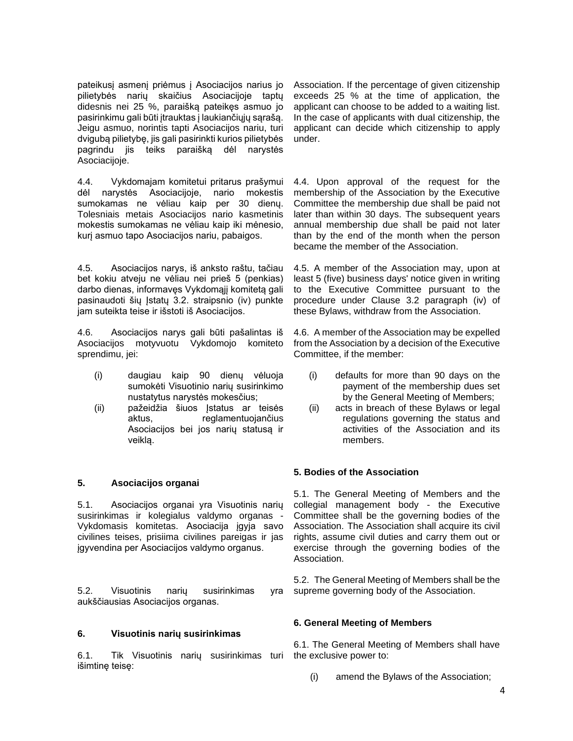pateikusį asmenį priėmus į Asociacijos narius jo pilietybės narių skaičius Asociacijoje taptų didesnis nei 25 %, paraišką pateikęs asmuo jo pasirinkimu gali būti įtrauktas į laukiančiųjų sąrašą. Jeigu asmuo, norintis tapti Asociacijos nariu, turi dvigubą pilietybę, jis gali pasirinkti kurios pilietybės pagrindu jis teiks paraišką dėl narystės Asociacijoje.

4.4. Vykdomajam komitetui pritarus prašymui dėl narystės Asociacijoje, nario mokestis sumokamas ne vėliau kaip per 30 dienų. Tolesniais metais Asociacijos nario kasmetinis mokestis sumokamas ne vėliau kaip iki mėnesio, kurį asmuo tapo Asociacijos nariu, pabaigos.

4.5. Asociacijos narys, iš anksto raštu, tačiau bet kokiu atveju ne vėliau nei prieš 5 (penkias) darbo dienas, informavęs Vykdomąjį komitetą gali pasinaudoti šių Įstatų 3.2. straipsnio (iv) punkte jam suteikta teise ir išstoti iš Asociacijos.

4.6. Asociacijos narys gali būti pašalintas iš Asociacijos motyvuotu Vykdomojo komiteto sprendimu, jei:

- (i) daugiau kaip 90 dienų vėluoja sumokėti Visuotinio narių susirinkimo nustatytus narystės mokesčius;
- (ii) pažeidžia šiuos Įstatus ar teisės aktus, reglamentuojančius Asociacijos bei jos narių statusą ir veiklą.

# **5. Asociacijos organai**

5.1. Asociacijos organai yra Visuotinis narių susirinkimas ir kolegialus valdymo organas - Vykdomasis komitetas. Asociacija įgyja savo civilines teises, prisiima civilines pareigas ir jas įgyvendina per Asociacijos valdymo organus.

5.2. Visuotinis narių susirinkimas yra aukščiausias Asociacijos organas.

## **6. Visuotinis narių susirinkimas**

6.1. Tik Visuotinis narių susirinkimas turi the exclusive power to: išimtinę teisę:

Association. If the percentage of given citizenship exceeds 25 % at the time of application, the applicant can choose to be added to a waiting list. In the case of applicants with dual citizenship, the applicant can decide which citizenship to apply under.

4.4. Upon approval of the request for the membership of the Association by the Executive Committee the membership due shall be paid not later than within 30 days. The subsequent years annual membership due shall be paid not later than by the end of the month when the person became the member of the Association.

4.5. A member of the Association may, upon at least 5 (five) business days' notice given in writing to the Executive Committee pursuant to the procedure under Clause 3.2 paragraph (iv) of these Bylaws, withdraw from the Association.

4.6. A member of the Association may be expelled from the Association by a decision of the Executive Committee, if the member:

- (i) defaults for more than 90 days on the payment of the membership dues set by the General Meeting of Members;
- (ii) acts in breach of these Bylaws or legal regulations governing the status and activities of the Association and its members.

## **5. Bodies of the Association**

5.1. The General Meeting of Members and the collegial management body - the Executive Committee shall be the governing bodies of the Association. The Association shall acquire its civil rights, assume civil duties and carry them out or exercise through the governing bodies of the Association.

5.2. The General Meeting of Members shall be the supreme governing body of the Association.

### **6. General Meeting of Members**

6.1. The General Meeting of Members shall have

(i) amend the Bylaws of the Association;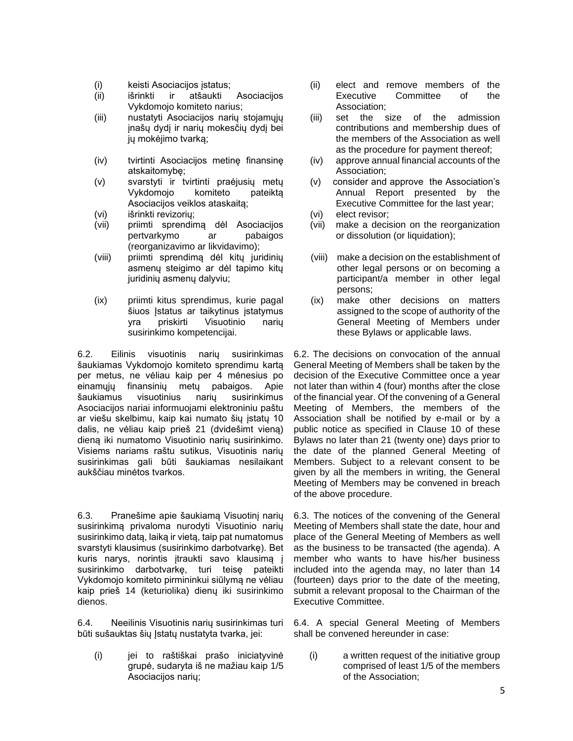- (i) keisti Asociacijos įstatus;
- (ii) išrinkti ir atšaukti Asociacijos Vykdomojo komiteto narius;
- (iii) nustatyti Asociacijos narių stojamųjų įnašų dydį ir narių mokesčių dydį bei jų mokėjimo tvarką;
- (iv) tvirtinti Asociacijos metinę finansinę atskaitomybę;
- (v) svarstyti ir tvirtinti praėjusių metų Vykdomojo komiteto pateiktą Asociacijos veiklos ataskaitą;
- (vi) išrinkti revizorių;
- (vii) priimti sprendimą dėl Asociacijos pertvarkymo ar pabaigos (reorganizavimo ar likvidavimo);
- (viii) priimti sprendimą dėl kitų juridinių asmenų steigimo ar dėl tapimo kitų juridinių asmenų dalyviu;
- (ix) priimti kitus sprendimus, kurie pagal šiuos Istatus ar taikytinus įstatymus yra priskirti Visuotinio narių susirinkimo kompetencijai.

6.2. Eilinis visuotinis narių susirinkimas šaukiamas Vykdomojo komiteto sprendimu kartą per metus, ne vėliau kaip per 4 mėnesius po einamųjų finansinių metų pabaigos. Apie šaukiamus visuotinius narių susirinkimus Asociacijos nariai informuojami elektroniniu paštu ar viešu skelbimu, kaip kai numato šių įstatų 10 dalis, ne vėliau kaip prieš 21 (dvidešimt vieną) dieną iki numatomo Visuotinio narių susirinkimo. Visiems nariams raštu sutikus, Visuotinis narių susirinkimas gali būti šaukiamas nesilaikant aukščiau minėtos tvarkos.

6.3. Pranešime apie šaukiamą Visuotinį narių susirinkimą privaloma nurodyti Visuotinio narių susirinkimo datą, laiką ir vietą, taip pat numatomus svarstyti klausimus (susirinkimo darbotvarkę). Bet kuris narys, norintis įtraukti savo klausimą į susirinkimo darbotvarkę, turi teisę pateikti Vykdomojo komiteto pirmininkui siūlymą ne vėliau kaip prieš 14 (keturiolika) dienų iki susirinkimo dienos.

6.4. Neeilinis Visuotinis narių susirinkimas turi būti sušauktas šių Įstatų nustatyta tvarka, jei:

(i) jei to raštiškai prašo iniciatyvinė grupė, sudaryta iš ne mažiau kaip 1/5 Asociacijos narių;

- (ii) elect and remove members of the Executive Committee of the Association;
- (iii) set the size of the admission contributions and membership dues of the members of the Association as well as the procedure for payment thereof;
- (iv) approve annual financial accounts of the Association;
- (v) consider and approve the Association's Annual Report presented by the Executive Committee for the last year;
- (vi) elect revisor;
- (vii) make a decision on the reorganization or dissolution (or liquidation);
- (viii) make a decision on the establishment of other legal persons or on becoming a participant/a member in other legal persons;
- (ix) make other decisions on matters assigned to the scope of authority of the General Meeting of Members under these Bylaws or applicable laws.

6.2. The decisions on convocation of the annual General Meeting of Members shall be taken by the decision of the Executive Committee once a year not later than within 4 (four) months after the close of the financial year. Of the convening of a General Meeting of Members, the members of the Association shall be notified by e-mail or by a public notice as specified in Clause 10 of these Bylaws no later than 21 (twenty one) days prior to the date of the planned General Meeting of Members. Subject to a relevant consent to be given by all the members in writing, the General Meeting of Members may be convened in breach of the above procedure.

6.3. The notices of the convening of the General Meeting of Members shall state the date, hour and place of the General Meeting of Members as well as the business to be transacted (the agenda). A member who wants to have his/her business included into the agenda may, no later than 14 (fourteen) days prior to the date of the meeting, submit a relevant proposal to the Chairman of the Executive Committee.

6.4. A special General Meeting of Members shall be convened hereunder in case:

(i) a written request of the initiative group comprised of least 1/5 of the members of the Association;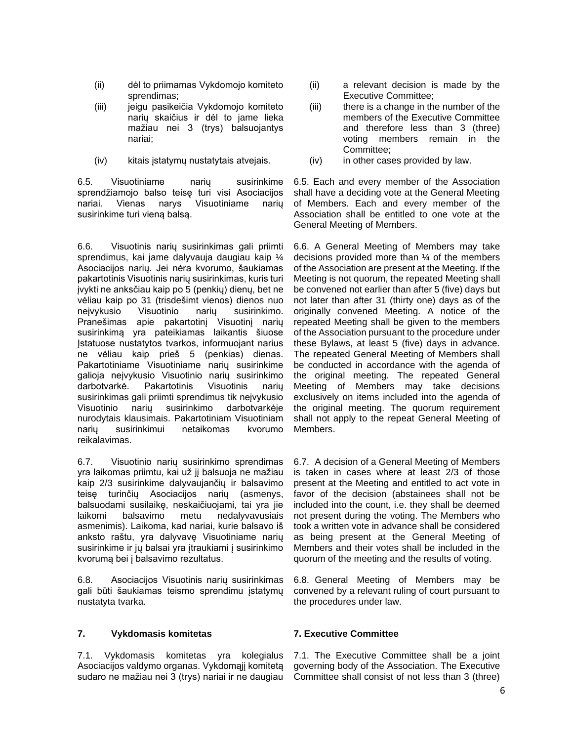- (ii) dėl to priimamas Vykdomojo komiteto sprendimas;
- (iii) jeigu pasikeičia Vykdomojo komiteto narių skaičius ir dėl to jame lieka mažiau nei 3 (trys) balsuojantys nariai;
- (iv) kitais įstatymų nustatytais atvejais.

6.5. Visuotiniame narių susirinkime sprendžiamojo balso teisę turi visi Asociacijos nariai. Vienas narys Visuotiniame narių susirinkime turi vieną balsą.

6.6. Visuotinis narių susirinkimas gali priimti sprendimus, kai jame dalyvauja daugiau kaip ¼ Asociacijos narių. Jei nėra kvorumo, šaukiamas pakartotinis Visuotinis narių susirinkimas, kuris turi įvykti ne anksčiau kaip po 5 (penkių) dienų, bet ne vėliau kaip po 31 (trisdešimt vienos) dienos nuo neįvykusio Visuotinio narių susirinkimo. Pranešimas apie pakartotinį Visuotinį narių susirinkimą yra pateikiamas laikantis šiuose Įstatuose nustatytos tvarkos, informuojant narius ne vėliau kaip prieš 5 (penkias) dienas. Pakartotiniame Visuotiniame narių susirinkime galioja neįvykusio Visuotinio narių susirinkimo darbotvarkė. Pakartotinis Visuotinis narių susirinkimas gali priimti sprendimus tik neįvykusio Visuotinio narių susirinkimo darbotvarkėje nurodytais klausimais. Pakartotiniam Visuotiniam narių susirinkimui netaikomas kvorumo reikalavimas.

6.7. Visuotinio narių susirinkimo sprendimas yra laikomas priimtu, kai už jį balsuoja ne mažiau kaip 2/3 susirinkime dalyvaujančių ir balsavimo teisę turinčių Asociacijos narių (asmenys, balsuodami susilaikę, neskaičiuojami, tai yra jie laikomi balsavimo metu nedalyvavusiais asmenimis). Laikoma, kad nariai, kurie balsavo iš anksto raštu, yra dalyvavę Visuotiniame narių susirinkime ir jų balsai yra įtraukiami į susirinkimo kvorumą bei į balsavimo rezultatus.

6.8. Asociacijos Visuotinis narių susirinkimas gali būti šaukiamas teismo sprendimu įstatymų nustatyta tvarka.

# **7. Vykdomasis komitetas**

7.1. Vykdomasis komitetas yra kolegialus Asociacijos valdymo organas. Vykdomąjį komitetą sudaro ne mažiau nei 3 (trys) nariai ir ne daugiau

- (ii) a relevant decision is made by the Executive Committee;
- (iii) there is a change in the number of the members of the Executive Committee and therefore less than 3 (three) voting members remain in the Committee;
- (iv) in other cases provided by law.

6.5. Each and every member of the Association shall have a deciding vote at the General Meeting of Members. Each and every member of the Association shall be entitled to one vote at the General Meeting of Members.

6.6. A General Meeting of Members may take decisions provided more than ¼ of the members of the Association are present at the Meeting. If the Meeting is not quorum, the repeated Meeting shall be convened not earlier than after 5 (five) days but not later than after 31 (thirty one) days as of the originally convened Meeting. A notice of the repeated Meeting shall be given to the members of the Association pursuant to the procedure under these Bylaws, at least 5 (five) days in advance. The repeated General Meeting of Members shall be conducted in accordance with the agenda of the original meeting. The repeated General Meeting of Members may take decisions exclusively on items included into the agenda of the original meeting. The quorum requirement shall not apply to the repeat General Meeting of Members.

6.7. A decision of a General Meeting of Members is taken in cases where at least 2/3 of those present at the Meeting and entitled to act vote in favor of the decision (abstainees shall not be included into the count, i.e. they shall be deemed not present during the voting. The Members who took a written vote in advance shall be considered as being present at the General Meeting of Members and their votes shall be included in the quorum of the meeting and the results of voting.

6.8. General Meeting of Members may be convened by a relevant ruling of court pursuant to the procedures under law.

# **7. Executive Committee**

7.1. The Executive Committee shall be a joint governing body of the Association. The Executive Committee shall consist of not less than 3 (three)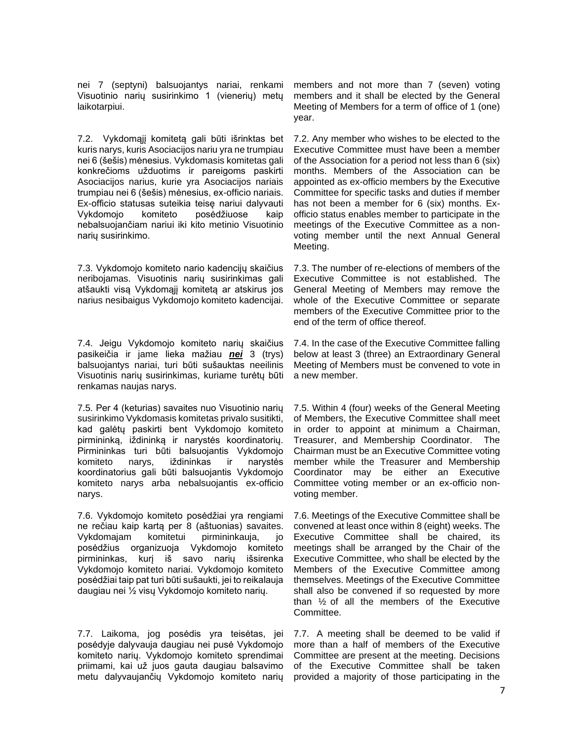nei 7 (septyni) balsuojantys nariai, renkami Visuotinio narių susirinkimo 1 (vienerių) metų laikotarpiui.

7.2. Vykdomąjį komitetą gali būti išrinktas bet kuris narys, kuris Asociacijos nariu yra ne trumpiau nei 6 (šešis) mėnesius. Vykdomasis komitetas gali konkrečioms užduotims ir pareigoms paskirti Asociacijos narius, kurie yra Asociacijos nariais trumpiau nei 6 (šešis) mėnesius, ex-officio nariais. Ex-officio statusas suteikia teisę nariui dalyvauti Vykdomojo komiteto posėdžiuose kaip nebalsuojančiam nariui iki kito metinio Visuotinio narių susirinkimo.

7.3. Vykdomojo komiteto nario kadencijų skaičius neribojamas. Visuotinis narių susirinkimas gali atšaukti visą Vykdomąjį komitetą ar atskirus jos narius nesibaigus Vykdomojo komiteto kadencijai.

7.4. Jeigu Vykdomojo komiteto narių skaičius pasikeičia ir jame lieka mažiau *nei* 3 (trys) balsuojantys nariai, turi būti sušauktas neeilinis Visuotinis narių susirinkimas, kuriame turėtų būti renkamas naujas narys.

7.5. Per 4 (keturias) savaites nuo Visuotinio narių susirinkimo Vykdomasis komitetas privalo susitikti, kad galėtų paskirti bent Vykdomojo komiteto pirmininką, iždininką ir narystės koordinatorių. Pirmininkas turi būti balsuojantis Vykdomojo komiteto narys, iždininkas ir narystės koordinatorius gali būti balsuojantis Vykdomojo komiteto narys arba nebalsuojantis ex-officio narys.

7.6. Vykdomojo komiteto posėdžiai yra rengiami ne rečiau kaip kartą per 8 (aštuonias) savaites. Vykdomajam komitetui pirmininkauja, jo posėdžius organizuoja Vykdomojo komiteto pirmininkas, kurį iš savo narių išsirenka Vykdomojo komiteto nariai. Vykdomojo komiteto posėdžiai taip pat turi būti sušaukti, jei to reikalauja daugiau nei ½ visų Vykdomojo komiteto narių.

7.7. Laikoma, jog posėdis yra teisėtas, jei posėdyje dalyvauja daugiau nei pusė Vykdomojo komiteto narių. Vykdomojo komiteto sprendimai priimami, kai už juos gauta daugiau balsavimo metu dalyvaujančių Vykdomojo komiteto narių

members and not more than 7 (seven) voting members and it shall be elected by the General Meeting of Members for a term of office of 1 (one) year.

7.2. Any member who wishes to be elected to the Executive Committee must have been a member of the Association for a period not less than 6 (six) months. Members of the Association can be appointed as ex-officio members by the Executive Committee for specific tasks and duties if member has not been a member for 6 (six) months. Exofficio status enables member to participate in the meetings of the Executive Committee as a nonvoting member until the next Annual General Meeting.

7.3. The number of re-elections of members of the Executive Committee is not established. The General Meeting of Members may remove the whole of the Executive Committee or separate members of the Executive Committee prior to the end of the term of office thereof.

7.4. In the case of the Executive Committee falling below at least 3 (three) an Extraordinary General Meeting of Members must be convened to vote in a new member.

7.5. Within 4 (four) weeks of the General Meeting of Members, the Executive Committee shall meet in order to appoint at minimum a Chairman, Treasurer, and Membership Coordinator. The Chairman must be an Executive Committee voting member while the Treasurer and Membership Coordinator may be either an Executive Committee voting member or an ex-officio nonvoting member.

7.6. Meetings of the Executive Committee shall be convened at least once within 8 (eight) weeks. The Executive Committee shall be chaired, its meetings shall be arranged by the Chair of the Executive Committee, who shall be elected by the Members of the Executive Committee among themselves. Meetings of the Executive Committee shall also be convened if so requested by more than ½ of all the members of the Executive Committee.

7.7. A meeting shall be deemed to be valid if more than a half of members of the Executive Committee are present at the meeting. Decisions of the Executive Committee shall be taken provided a majority of those participating in the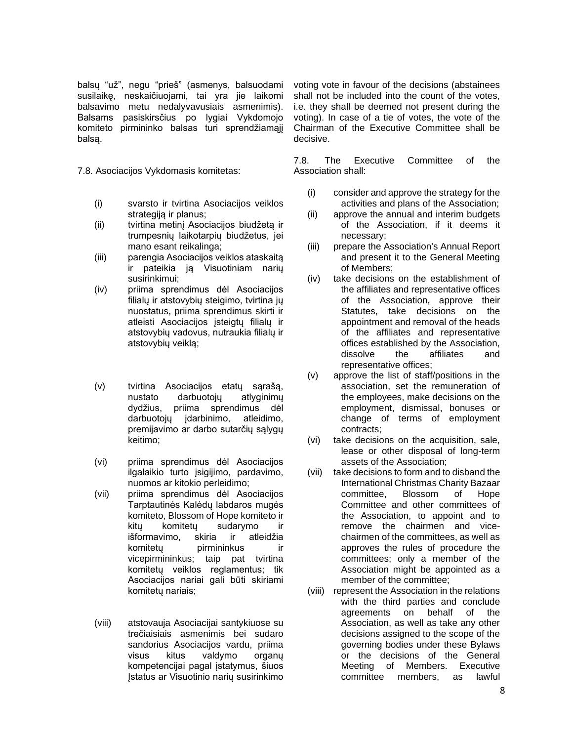balsų "už", negu "prieš" (asmenys, balsuodami susilaikę, neskaičiuojami, tai yra jie laikomi balsavimo metu nedalyvavusiais asmenimis). Balsams pasiskirsčius po lygiai Vykdomojo komiteto pirmininko balsas turi sprendžiamąjį balsą.

7.8. Asociacijos Vykdomasis komitetas:

- (i) svarsto ir tvirtina Asociacijos veiklos strategiją ir planus;
- (ii) tvirtina metinį Asociacijos biudžetą ir trumpesnių laikotarpių biudžetus, jei mano esant reikalinga;
- (iii) parengia Asociacijos veiklos ataskaitą ir pateikia ją Visuotiniam narių susirinkimui;
- (iv) priima sprendimus dėl Asociacijos filialų ir atstovybių steigimo, tvirtina jų nuostatus, priima sprendimus skirti ir atleisti Asociacijos įsteigtų filialų ir atstovybių vadovus, nutraukia filialų ir atstovybių veiklą;
- (v) tvirtina Asociacijos etatų sąrašą, nustato darbuotojų atlyginimų dydžius, priima sprendimus dėl darbuotojų įdarbinimo, atleidimo, premijavimo ar darbo sutarčių sąlygų keitimo;
- (vi) priima sprendimus dėl Asociacijos ilgalaikio turto įsigijimo, pardavimo, nuomos ar kitokio perleidimo;
- (vii) priima sprendimus dėl Asociacijos Tarptautinės Kalėdų labdaros mugės komiteto, Blossom of Hope komiteto ir kitų komitetų sudarymo ir išformavimo, skiria ir atleidžia komitetų pirmininkus ir vicepirmininkus; taip pat tvirtina komitetų veiklos reglamentus; tik Asociacijos nariai gali būti skiriami komitetų nariais;
- (viii) atstovauja Asociacijai santykiuose su trečiaisiais asmenimis bei sudaro sandorius Asociacijos vardu, priima visus kitus valdymo organų kompetencijai pagal įstatymus, šiuos Įstatus ar Visuotinio narių susirinkimo

voting vote in favour of the decisions (abstainees shall not be included into the count of the votes, i.e. they shall be deemed not present during the voting). In case of a tie of votes, the vote of the Chairman of the Executive Committee shall be decisive.

7.8. The Executive Committee of the Association shall:

- (i) consider and approve the strategy for the activities and plans of the Association;
- (ii) approve the annual and interim budgets of the Association, if it deems it necessary;
- (iii) prepare the Association's Annual Report and present it to the General Meeting of Members;
- (iv) take decisions on the establishment of the affiliates and representative offices of the Association, approve their Statutes, take decisions on the appointment and removal of the heads of the affiliates and representative offices established by the Association, dissolve the affiliates and representative offices;
- (v) approve the list of staff/positions in the association, set the remuneration of the employees, make decisions on the employment, dismissal, bonuses or change of terms of employment contracts;
- (vi) take decisions on the acquisition, sale, lease or other disposal of long-term assets of the Association;
- (vii) take decisions to form and to disband the International Christmas Charity Bazaar committee, Blossom of Hope Committee and other committees of the Association, to appoint and to remove the chairmen and vicechairmen of the committees, as well as approves the rules of procedure the committees; only a member of the Association might be appointed as a member of the committee;
- (viii) represent the Association in the relations with the third parties and conclude agreements on behalf of the Association, as well as take any other decisions assigned to the scope of the governing bodies under these Bylaws or the decisions of the General Meeting of Members. Executive committee members, as lawful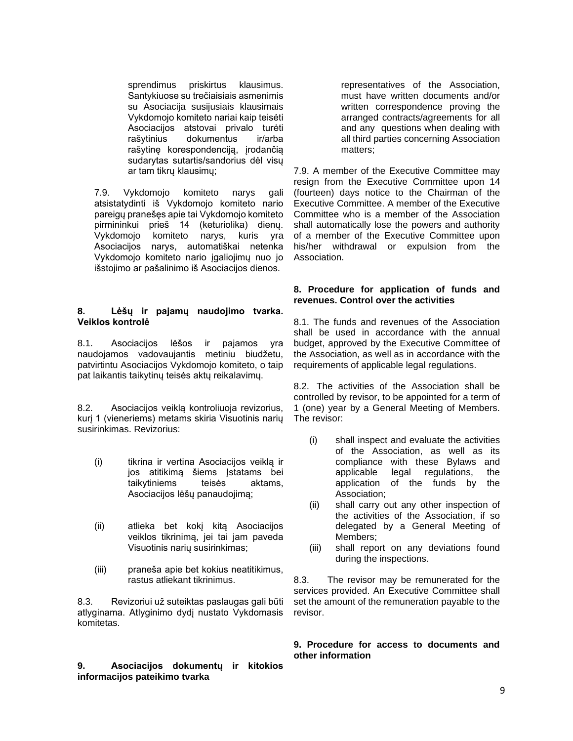sprendimus priskirtus klausimus. Santykiuose su trečiaisiais asmenimis su Asociacija susijusiais klausimais Vykdomojo komiteto nariai kaip teisėti Asociacijos atstovai privalo turėti rašytinius dokumentus ir/arba rašytinę korespondenciją, įrodančią sudarytas sutartis/sandorius dėl visų ar tam tikrų klausimų;

7.9. Vykdomojo komiteto narys gali atsistatydinti iš Vykdomojo komiteto nario pareigų pranešęs apie tai Vykdomojo komiteto pirmininkui prieš 14 (keturiolika) dienų. Vykdomojo komiteto narys, kuris yra Asociacijos narys, automatiškai netenka Vykdomojo komiteto nario įgaliojimų nuo jo išstojimo ar pašalinimo iš Asociacijos dienos.

## **8. Lėšų ir pajamų naudojimo tvarka. Veiklos kontrolė**

8.1. Asociacijos lėšos ir pajamos yra naudojamos vadovaujantis metiniu biudžetu, patvirtintu Asociacijos Vykdomojo komiteto, o taip pat laikantis taikytinų teisės aktų reikalavimų.

8.2. Asociacijos veiklą kontroliuoja revizorius, kurį 1 (vieneriems) metams skiria Visuotinis narių susirinkimas. Revizorius:

- (i) tikrina ir vertina Asociacijos veiklą ir jos atitikimą šiems Įstatams bei taikytiniems teisės aktams, Asociacijos lėšų panaudojimą;
- (ii) atlieka bet kokį kitą Asociacijos veiklos tikrinimą, jei tai jam paveda Visuotinis narių susirinkimas;
- (iii) praneša apie bet kokius neatitikimus, rastus atliekant tikrinimus.

8.3. Revizoriui už suteiktas paslaugas gali būti atlyginama. Atlyginimo dydį nustato Vykdomasis komitetas.

## **9. Asociacijos dokumentų ir kitokios informacijos pateikimo tvarka**

representatives of the Association, must have written documents and/or written correspondence proving the arranged contracts/agreements for all and any questions when dealing with all third parties concerning Association matters;

7.9. A member of the Executive Committee may resign from the Executive Committee upon 14 (fourteen) days notice to the Chairman of the Executive Committee. A member of the Executive Committee who is a member of the Association shall automatically lose the powers and authority of a member of the Executive Committee upon his/her withdrawal or expulsion from the Association.

## **8. Procedure for application of funds and revenues. Control over the activities**

8.1. The funds and revenues of the Association shall be used in accordance with the annual budget, approved by the Executive Committee of the Association, as well as in accordance with the requirements of applicable legal regulations.

8.2. The activities of the Association shall be controlled by revisor, to be appointed for a term of 1 (one) year by a General Meeting of Members. The revisor:

- (i) shall inspect and evaluate the activities of the Association, as well as its compliance with these Bylaws and applicable legal regulations, the application of the funds by the Association;
- (ii) shall carry out any other inspection of the activities of the Association, if so delegated by a General Meeting of Members;
- (iii) shall report on any deviations found during the inspections.

8.3. The revisor may be remunerated for the services provided. An Executive Committee shall set the amount of the remuneration payable to the revisor.

## **9. Procedure for access to documents and other information**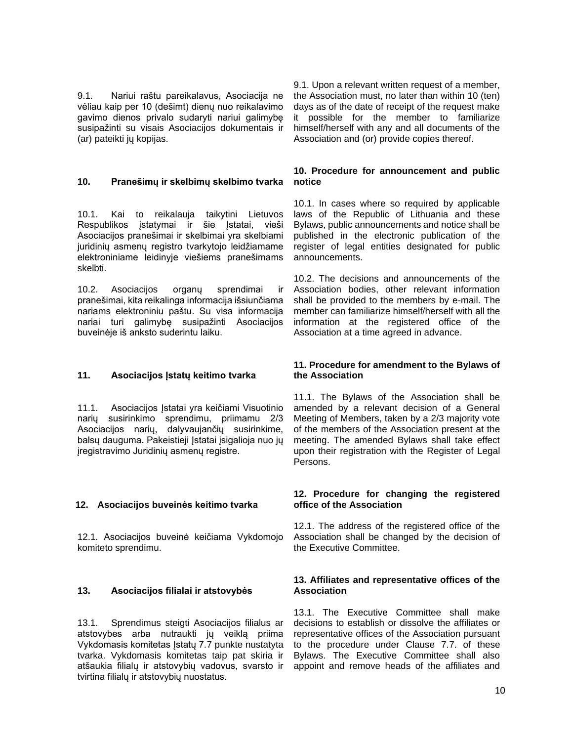9.1. Nariui raštu pareikalavus, Asociacija ne vėliau kaip per 10 (dešimt) dienų nuo reikalavimo gavimo dienos privalo sudaryti nariui galimybę susipažinti su visais Asociacijos dokumentais ir (ar) pateikti jų kopijas.

### **10. Pranešimų ir skelbimų skelbimo tvarka**

10.1. Kai to reikalauja taikytini Lietuvos Respublikos įstatymai ir šie Įstatai, vieši Asociacijos pranešimai ir skelbimai yra skelbiami juridinių asmenų registro tvarkytojo leidžiamame elektroniniame leidinyje viešiems pranešimams skelbti.

10.2. Asociacijos organų sprendimai ir pranešimai, kita reikalinga informacija išsiunčiama nariams elektroniniu paštu. Su visa informacija nariai turi galimybę susipažinti Asociacijos buveinėje iš anksto suderintu laiku.

## **11. Asociacijos Įstatų keitimo tvarka**

11.1. Asociacijos Įstatai yra keičiami Visuotinio narių susirinkimo sprendimu, priimamu 2/3 Asociacijos narių, dalyvaujančių susirinkime, balsų dauguma. Pakeistieji Įstatai įsigalioja nuo jų įregistravimo Juridinių asmenų registre.

## **12. Asociacijos buveinės keitimo tvarka**

12.1. Asociacijos buveinė keičiama Vykdomojo komiteto sprendimu.

### **13. Asociacijos filialai ir atstovybės**

13.1. Sprendimus steigti Asociacijos filialus ar atstovybes arba nutraukti jų veiklą priima Vykdomasis komitetas Įstatų 7.7 punkte nustatyta tvarka. Vykdomasis komitetas taip pat skiria ir atšaukia filialų ir atstovybių vadovus, svarsto ir tvirtina filialų ir atstovybių nuostatus.

9.1. Upon a relevant written request of a member, the Association must, no later than within 10 (ten) days as of the date of receipt of the request make it possible for the member to familiarize himself/herself with any and all documents of the Association and (or) provide copies thereof.

### **10. Procedure for announcement and public notice**

10.1. In cases where so required by applicable laws of the Republic of Lithuania and these Bylaws, public announcements and notice shall be published in the electronic publication of the register of legal entities designated for public announcements.

10.2. The decisions and announcements of the Association bodies, other relevant information shall be provided to the members by e-mail. The member can familiarize himself/herself with all the information at the registered office of the Association at a time agreed in advance.

### **11. Procedure for amendment to the Bylaws of the Association**

11.1. The Bylaws of the Association shall be amended by a relevant decision of a General Meeting of Members, taken by a 2/3 majority vote of the members of the Association present at the meeting. The amended Bylaws shall take effect upon their registration with the Register of Legal Persons.

### **12. Procedure for changing the registered office of the Association**

12.1. The address of the registered office of the Association shall be changed by the decision of the Executive Committee.

### **13. Affiliates and representative offices of the Association**

13.1. The Executive Committee shall make decisions to establish or dissolve the affiliates or representative offices of the Association pursuant to the procedure under Clause 7.7. of these Bylaws. The Executive Committee shall also appoint and remove heads of the affiliates and